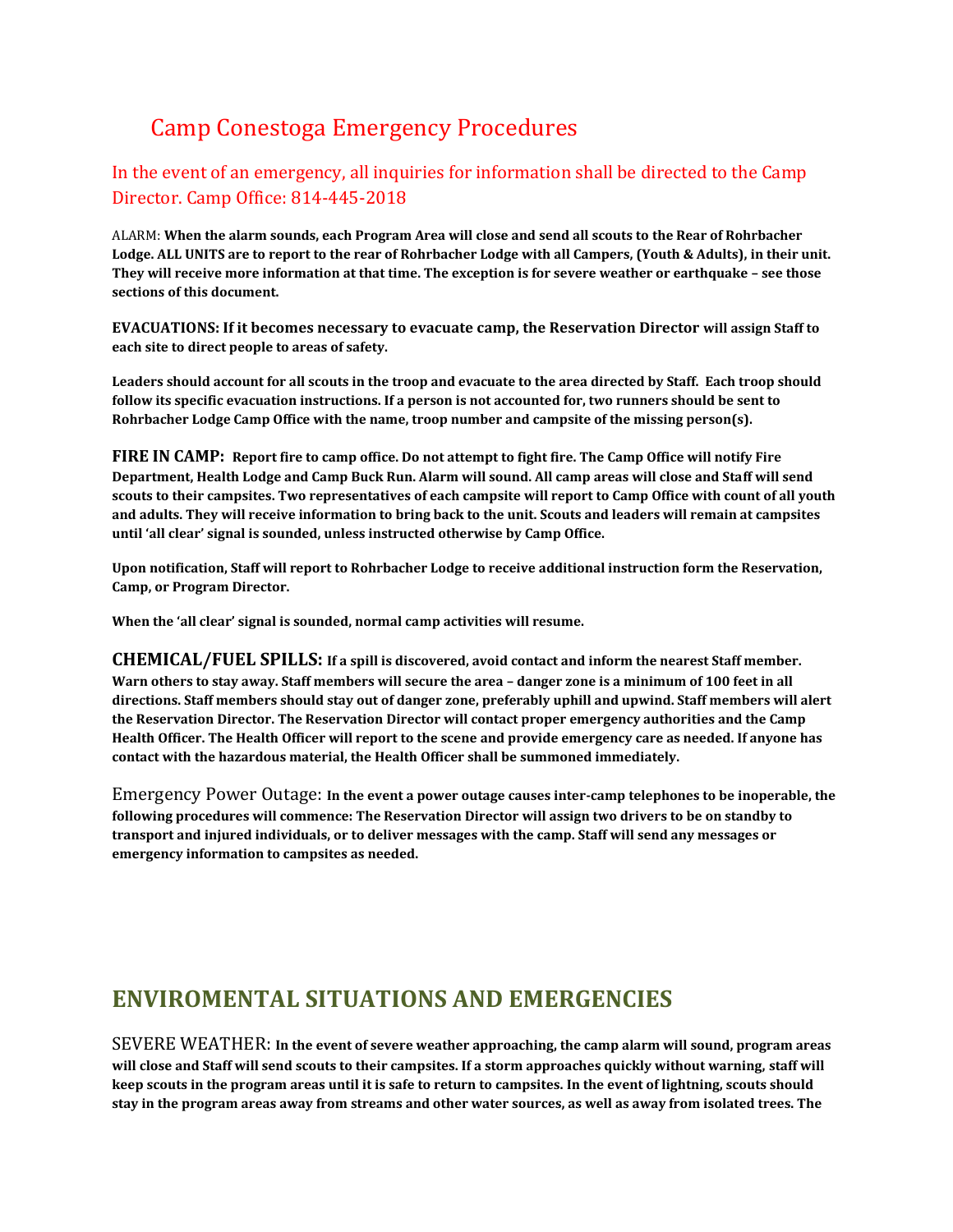# Camp Conestoga Emergency Procedures

#### In the event of an emergency, all inquiries for information shall be directed to the Camp Director. Camp Office: 814-445-2018

ALARM: **When the alarm sounds, each Program Area will close and send all scouts to the Rear of Rohrbacher Lodge. ALL UNITS are to report to the rear of Rohrbacher Lodge with all Campers, (Youth & Adults), in their unit. They will receive more information at that time. The exception is for severe weather or earthquake – see those sections of this document.**

**EVACUATIONS: If it becomes necessary to evacuate camp, the Reservation Director will assign Staff to each site to direct people to areas of safety.**

**Leaders should account for all scouts in the troop and evacuate to the area directed by Staff. Each troop should follow its specific evacuation instructions. If a person is not accounted for, two runners should be sent to Rohrbacher Lodge Camp Office with the name, troop number and campsite of the missing person(s).**

**FIRE IN CAMP: Report fire to camp office. Do not attempt to fight fire. The Camp Office will notify Fire Department, Health Lodge and Camp Buck Run. Alarm will sound. All camp areas will close and Staff will send scouts to their campsites. Two representatives of each campsite will report to Camp Office with count of all youth and adults. They will receive information to bring back to the unit. Scouts and leaders will remain at campsites until 'all clear' signal is sounded, unless instructed otherwise by Camp Office.** 

**Upon notification, Staff will report to Rohrbacher Lodge to receive additional instruction form the Reservation, Camp, or Program Director.**

**When the 'all clear' signal is sounded, normal camp activities will resume.**

**CHEMICAL/FUEL SPILLS: If a spill is discovered, avoid contact and inform the nearest Staff member. Warn others to stay away. Staff members will secure the area – danger zone is a minimum of 100 feet in all directions. Staff members should stay out of danger zone, preferably uphill and upwind. Staff members will alert the Reservation Director. The Reservation Director will contact proper emergency authorities and the Camp Health Officer. The Health Officer will report to the scene and provide emergency care as needed. If anyone has contact with the hazardous material, the Health Officer shall be summoned immediately.**

Emergency Power Outage: **In the event a power outage causes inter-camp telephones to be inoperable, the following procedures will commence: The Reservation Director will assign two drivers to be on standby to transport and injured individuals, or to deliver messages with the camp. Staff will send any messages or emergency information to campsites as needed.**

### **ENVIROMENTAL SITUATIONS AND EMERGENCIES**

SEVERE WEATHER: **In the event of severe weather approaching, the camp alarm will sound, program areas will close and Staff will send scouts to their campsites. If a storm approaches quickly without warning, staff will keep scouts in the program areas until it is safe to return to campsites. In the event of lightning, scouts should stay in the program areas away from streams and other water sources, as well as away from isolated trees. The**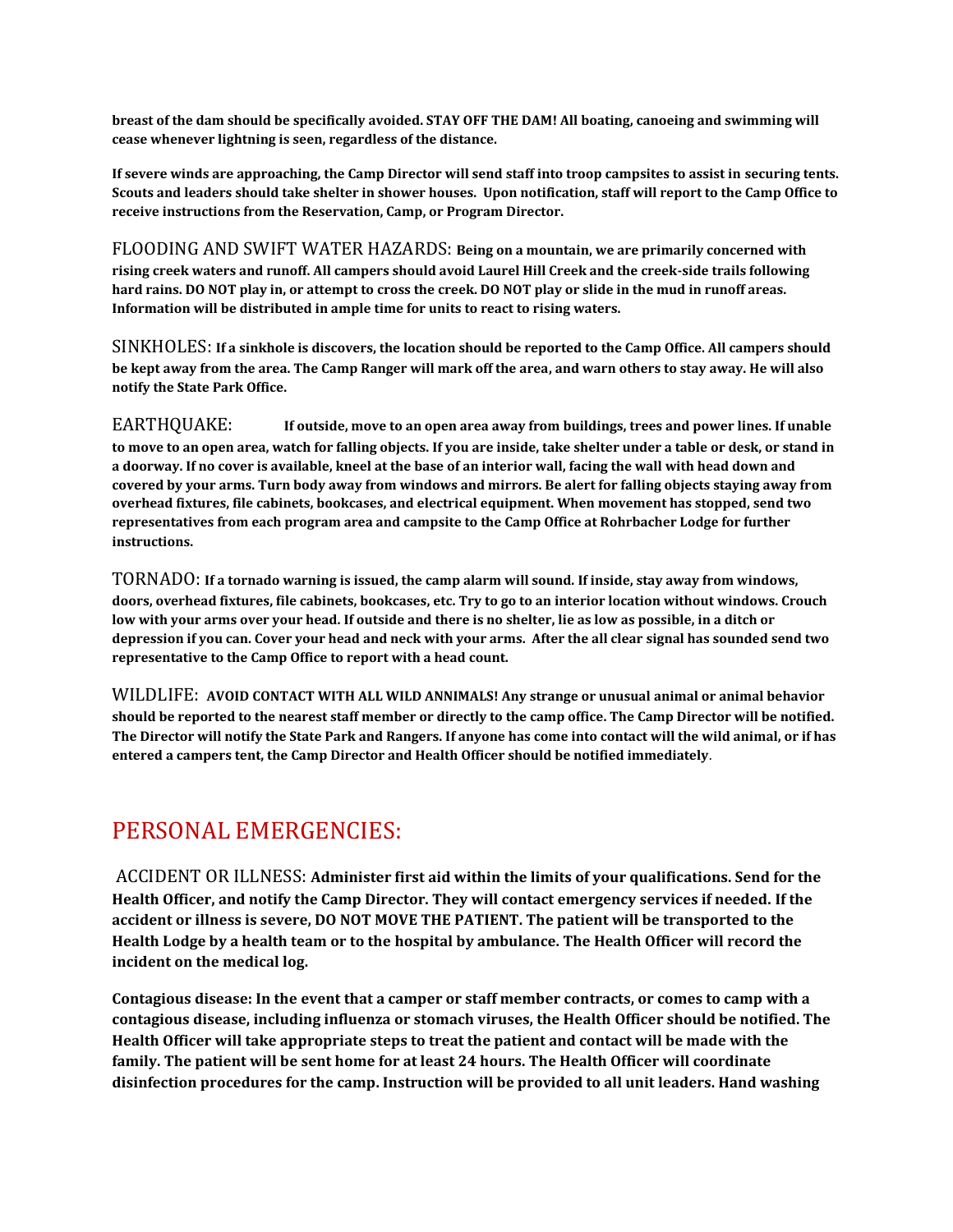**breast of the dam should be specifically avoided. STAY OFF THE DAM! All boating, canoeing and swimming will cease whenever lightning is seen, regardless of the distance.**

**If severe winds are approaching, the Camp Director will send staff into troop campsites to assist in securing tents. Scouts and leaders should take shelter in shower houses. Upon notification, staff will report to the Camp Office to receive instructions from the Reservation, Camp, or Program Director.**

FLOODING AND SWIFT WATER HAZARDS: **Being on a mountain, we are primarily concerned with rising creek waters and runoff. All campers should avoid Laurel Hill Creek and the creek-side trails following hard rains. DO NOT play in, or attempt to cross the creek. DO NOT play or slide in the mud in runoff areas. Information will be distributed in ample time for units to react to rising waters.**

SINKHOLES: **If a sinkhole is discovers, the location should be reported to the Camp Office. All campers should be kept away from the area. The Camp Ranger will mark off the area, and warn others to stay away. He will also notify the State Park Office.**

EARTHQUAKE: **If outside, move to an open area away from buildings, trees and power lines. If unable to move to an open area, watch for falling objects. If you are inside, take shelter under a table or desk, or stand in a doorway. If no cover is available, kneel at the base of an interior wall, facing the wall with head down and covered by your arms. Turn body away from windows and mirrors. Be alert for falling objects staying away from overhead fixtures, file cabinets, bookcases, and electrical equipment. When movement has stopped, send two representatives from each program area and campsite to the Camp Office at Rohrbacher Lodge for further instructions.**

TORNADO: **If a tornado warning is issued, the camp alarm will sound. If inside, stay away from windows, doors, overhead fixtures, file cabinets, bookcases, etc. Try to go to an interior location without windows. Crouch low with your arms over your head. If outside and there is no shelter, lie as low as possible, in a ditch or depression if you can. Cover your head and neck with your arms. After the all clear signal has sounded send two representative to the Camp Office to report with a head count.**

WILDLIFE: **AVOID CONTACT WITH ALL WILD ANNIMALS! Any strange or unusual animal or animal behavior should be reported to the nearest staff member or directly to the camp office. The Camp Director will be notified. The Director will notify the State Park and Rangers. If anyone has come into contact will the wild animal, or if has entered a campers tent, the Camp Director and Health Officer should be notified immediately**.

## PERSONAL EMERGENCIES:

ACCIDENT OR ILLNESS: **Administer first aid within the limits of your qualifications. Send for the Health Officer, and notify the Camp Director. They will contact emergency services if needed. If the accident or illness is severe, DO NOT MOVE THE PATIENT. The patient will be transported to the Health Lodge by a health team or to the hospital by ambulance. The Health Officer will record the incident on the medical log.**

**Contagious disease: In the event that a camper or staff member contracts, or comes to camp with a contagious disease, including influenza or stomach viruses, the Health Officer should be notified. The Health Officer will take appropriate steps to treat the patient and contact will be made with the family. The patient will be sent home for at least 24 hours. The Health Officer will coordinate disinfection procedures for the camp. Instruction will be provided to all unit leaders. Hand washing**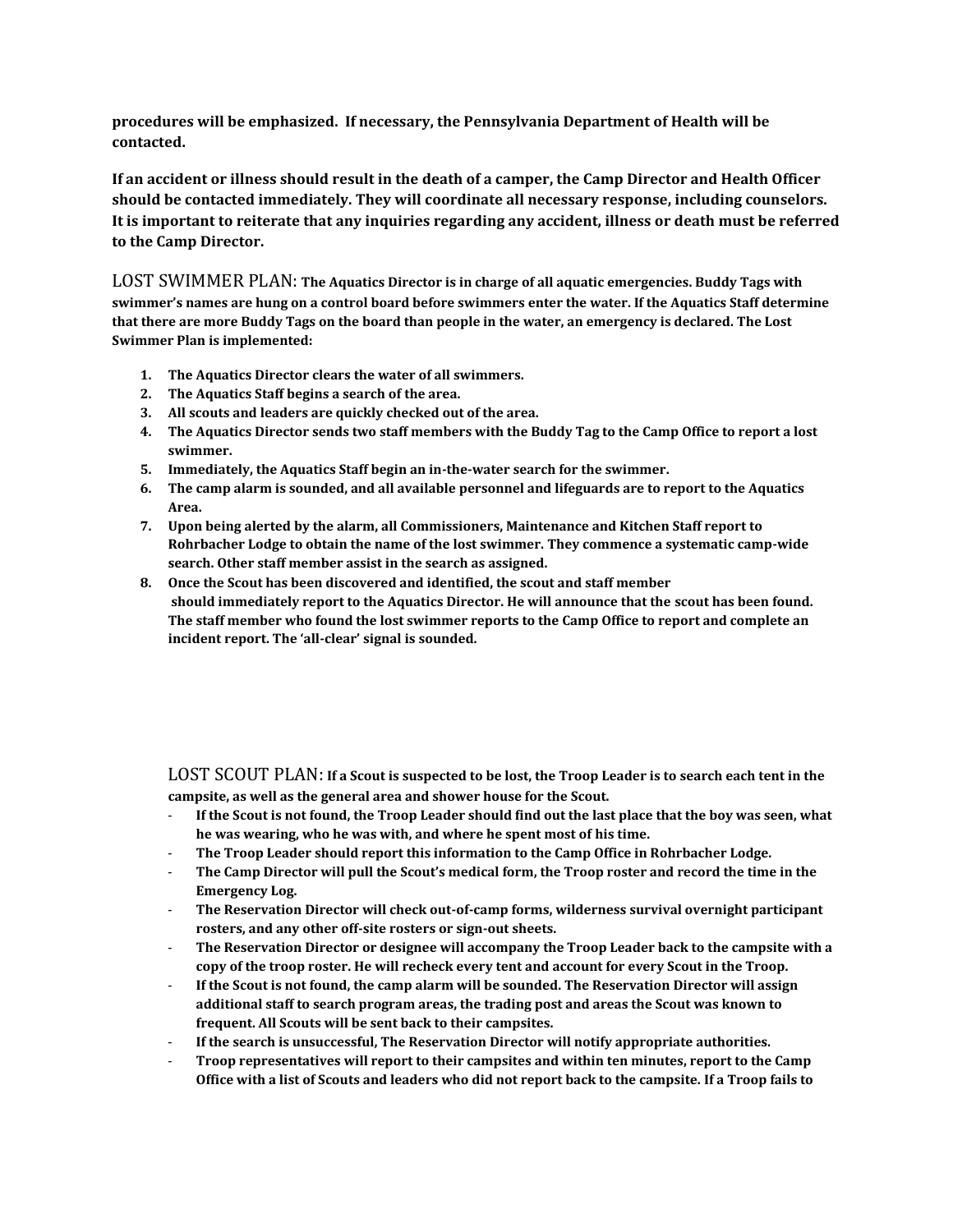**procedures will be emphasized. If necessary, the Pennsylvania Department of Health will be contacted.**

**If an accident or illness should result in the death of a camper, the Camp Director and Health Officer should be contacted immediately. They will coordinate all necessary response, including counselors. It is important to reiterate that any inquiries regarding any accident, illness or death must be referred to the Camp Director.**

LOST SWIMMER PLAN: **The Aquatics Director is in charge of all aquatic emergencies. Buddy Tags with swimmer's names are hung on a control board before swimmers enter the water. If the Aquatics Staff determine that there are more Buddy Tags on the board than people in the water, an emergency is declared. The Lost Swimmer Plan is implemented:**

- **1. The Aquatics Director clears the water of all swimmers.**
- **2. The Aquatics Staff begins a search of the area.**
- **3. All scouts and leaders are quickly checked out of the area.**
- **4. The Aquatics Director sends two staff members with the Buddy Tag to the Camp Office to report a lost swimmer.**
- **5. Immediately, the Aquatics Staff begin an in-the-water search for the swimmer.**
- **6. The camp alarm is sounded, and all available personnel and lifeguards are to report to the Aquatics Area.**
- **7. Upon being alerted by the alarm, all Commissioners, Maintenance and Kitchen Staff report to Rohrbacher Lodge to obtain the name of the lost swimmer. They commence a systematic camp-wide search. Other staff member assist in the search as assigned.**
- **8. Once the Scout has been discovered and identified, the scout and staff member should immediately report to the Aquatics Director. He will announce that the scout has been found. The staff member who found the lost swimmer reports to the Camp Office to report and complete an incident report. The 'all-clear' signal is sounded.**

LOST SCOUT PLAN: **If a Scout is suspected to be lost, the Troop Leader is to search each tent in the campsite, as well as the general area and shower house for the Scout.**

- **If the Scout is not found, the Troop Leader should find out the last place that the boy was seen, what he was wearing, who he was with, and where he spent most of his time.**
- **The Troop Leader should report this information to the Camp Office in Rohrbacher Lodge.**
- **The Camp Director will pull the Scout's medical form, the Troop roster and record the time in the Emergency Log.**
- **The Reservation Director will check out-of-camp forms, wilderness survival overnight participant rosters, and any other off-site rosters or sign-out sheets.**
- **The Reservation Director or designee will accompany the Troop Leader back to the campsite with a copy of the troop roster. He will recheck every tent and account for every Scout in the Troop.**
- **If the Scout is not found, the camp alarm will be sounded. The Reservation Director will assign additional staff to search program areas, the trading post and areas the Scout was known to frequent. All Scouts will be sent back to their campsites.**
- **If the search is unsuccessful, The Reservation Director will notify appropriate authorities.**
- **Troop representatives will report to their campsites and within ten minutes, report to the Camp Office with a list of Scouts and leaders who did not report back to the campsite. If a Troop fails to**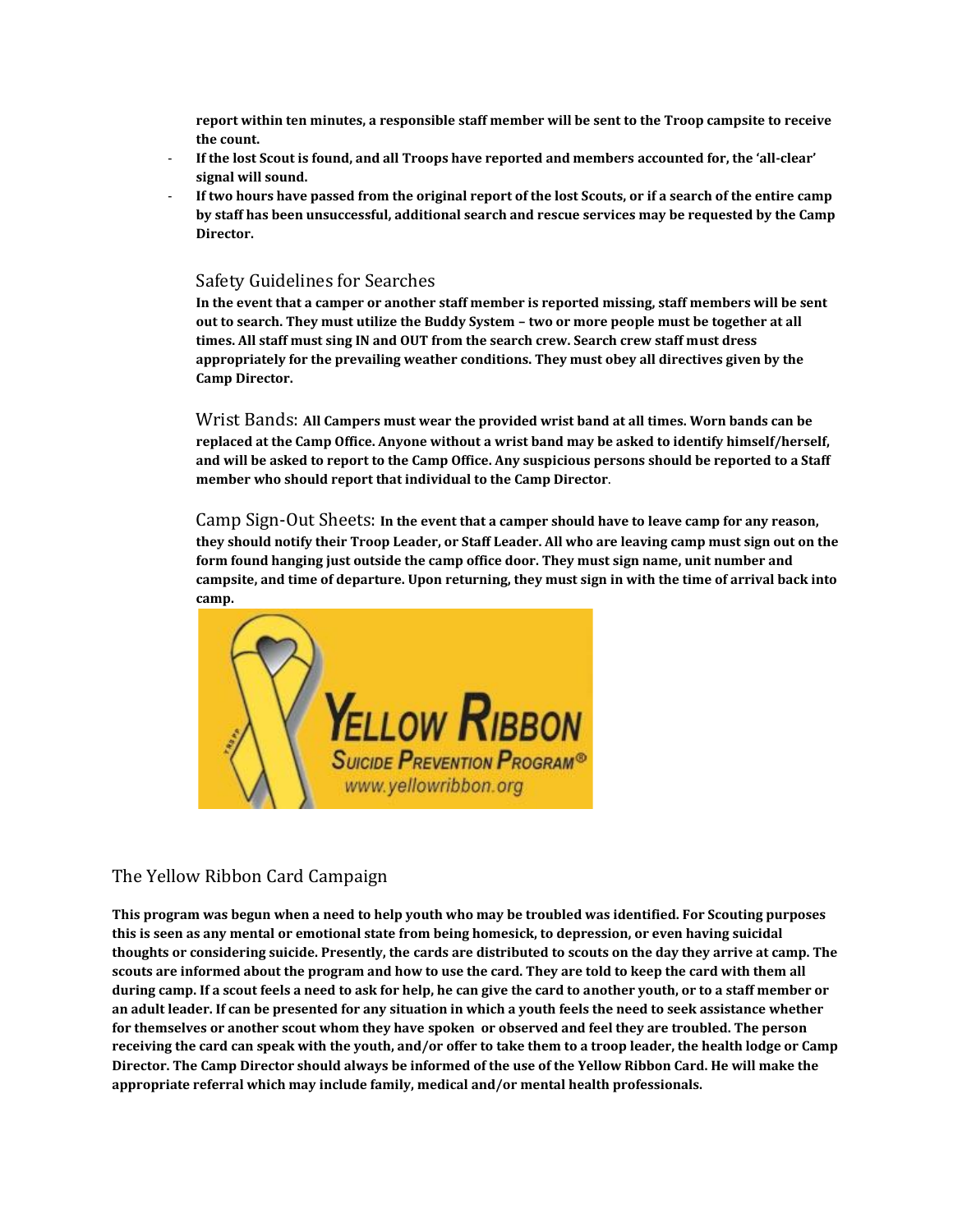**report within ten minutes, a responsible staff member will be sent to the Troop campsite to receive the count.**

- **If the lost Scout is found, and all Troops have reported and members accounted for, the 'all-clear' signal will sound.**
- **If two hours have passed from the original report of the lost Scouts, or if a search of the entire camp by staff has been unsuccessful, additional search and rescue services may be requested by the Camp Director.**

#### Safety Guidelines for Searches

**In the event that a camper or another staff member is reported missing, staff members will be sent out to search. They must utilize the Buddy System – two or more people must be together at all times. All staff must sing IN and OUT from the search crew. Search crew staff must dress appropriately for the prevailing weather conditions. They must obey all directives given by the Camp Director.**

Wrist Bands: **All Campers must wear the provided wrist band at all times. Worn bands can be replaced at the Camp Office. Anyone without a wrist band may be asked to identify himself/herself, and will be asked to report to the Camp Office. Any suspicious persons should be reported to a Staff member who should report that individual to the Camp Director**.

Camp Sign-Out Sheets: **In the event that a camper should have to leave camp for any reason, they should notify their Troop Leader, or Staff Leader. All who are leaving camp must sign out on the form found hanging just outside the camp office door. They must sign name, unit number and campsite, and time of departure. Upon returning, they must sign in with the time of arrival back into camp.**



#### The Yellow Ribbon Card Campaign

**This program was begun when a need to help youth who may be troubled was identified. For Scouting purposes this is seen as any mental or emotional state from being homesick, to depression, or even having suicidal thoughts or considering suicide. Presently, the cards are distributed to scouts on the day they arrive at camp. The scouts are informed about the program and how to use the card. They are told to keep the card with them all during camp. If a scout feels a need to ask for help, he can give the card to another youth, or to a staff member or an adult leader. If can be presented for any situation in which a youth feels the need to seek assistance whether for themselves or another scout whom they have spoken or observed and feel they are troubled. The person receiving the card can speak with the youth, and/or offer to take them to a troop leader, the health lodge or Camp Director. The Camp Director should always be informed of the use of the Yellow Ribbon Card. He will make the appropriate referral which may include family, medical and/or mental health professionals.**